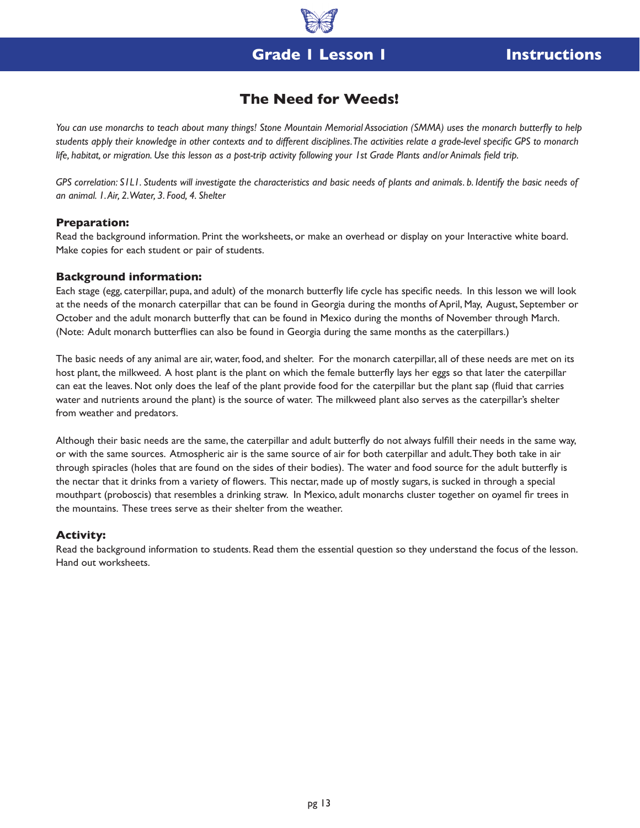### **Grade 1 Lesson 1 Instructions**

### **The Need for Weeds!**

*You can use monarchs to teach about many things! Stone Mountain Memorial Association (SMMA) uses the monarch butterfly to help students apply their knowledge in other contexts and to different disciplines. The activities relate a grade-level specific GPS to monarch life, habitat, or migration. Use this lesson as a post-trip activity following your 1st Grade Plants and/or Animals field trip.*

GPS correlation: S1L1. Students will investigate the characteristics and basic needs of plants and animals. b. Identify the basic needs of *an animal. 1. Air, 2. Water, 3. Food, 4. Shelter*

#### **Preparation:**

Read the background information. Print the worksheets, or make an overhead or display on your Interactive white board. Make copies for each student or pair of students.

#### **Background information:**

Each stage (egg, caterpillar, pupa, and adult) of the monarch butterfly life cycle has specific needs. In this lesson we will look at the needs of the monarch caterpillar that can be found in Georgia during the months of April, May, August, September or October and the adult monarch butterfly that can be found in Mexico during the months of November through March. (Note: Adult monarch butterflies can also be found in Georgia during the same months as the caterpillars.)

The basic needs of any animal are air, water, food, and shelter. For the monarch caterpillar, all of these needs are met on its host plant, the milkweed. A host plant is the plant on which the female butterfly lays her eggs so that later the caterpillar can eat the leaves. Not only does the leaf of the plant provide food for the caterpillar but the plant sap (fluid that carries water and nutrients around the plant) is the source of water. The milkweed plant also serves as the caterpillar's shelter from weather and predators.

Although their basic needs are the same, the caterpillar and adult butterfly do not always fulfill their needs in the same way, or with the same sources. Atmospheric air is the same source of air for both caterpillar and adult. They both take in air through spiracles (holes that are found on the sides of their bodies). The water and food source for the adult butterfly is the nectar that it drinks from a variety of flowers. This nectar, made up of mostly sugars, is sucked in through a special mouthpart (proboscis) that resembles a drinking straw. In Mexico, adult monarchs cluster together on oyamel fir trees in the mountains. These trees serve as their shelter from the weather.

#### **Activity:**

Read the background information to students. Read them the essential question so they understand the focus of the lesson. Hand out worksheets.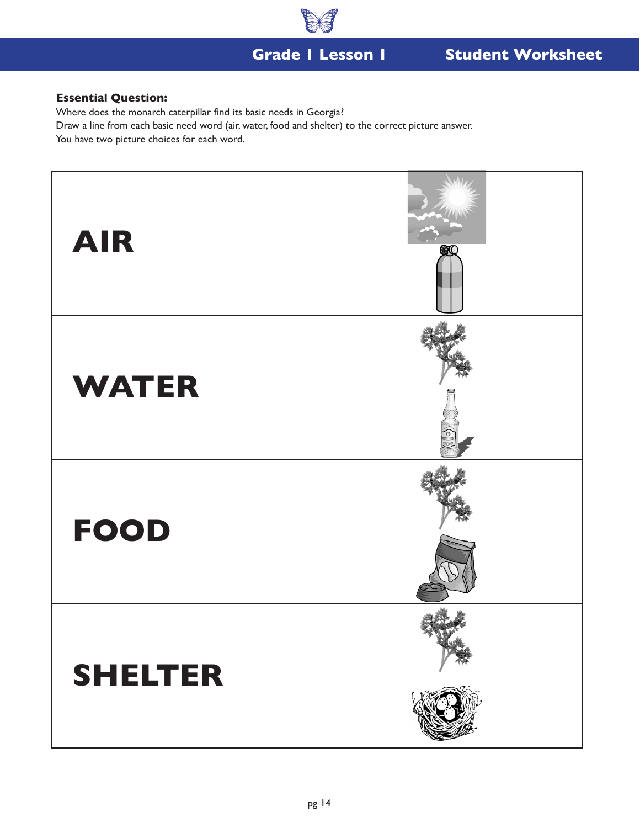

### **Grade 1 Lesson 1**

# **Student Worksheet**

### **Essential Question:**

Where does the monarch caterpillar find its basic needs in Georgia?

Draw a line from each basic need word (air, water, food and shelter) to the correct picture answer.

You have two picture choices for each word.

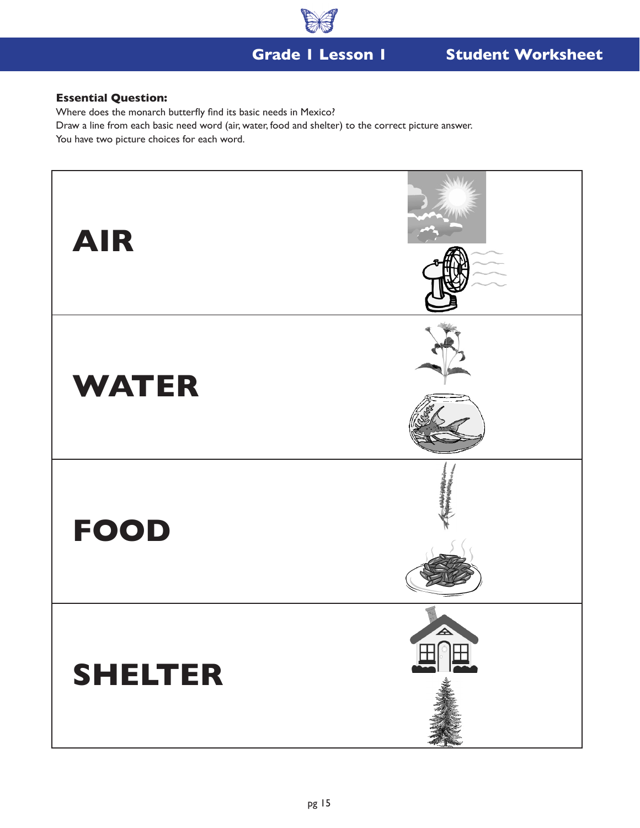

### **Grade 1 Lesson 1**

# **Student Worksheet**

### **Essential Question:**

Where does the monarch butterfly find its basic needs in Mexico?

Draw a line from each basic need word (air, water, food and shelter) to the correct picture answer.

You have two picture choices for each word.